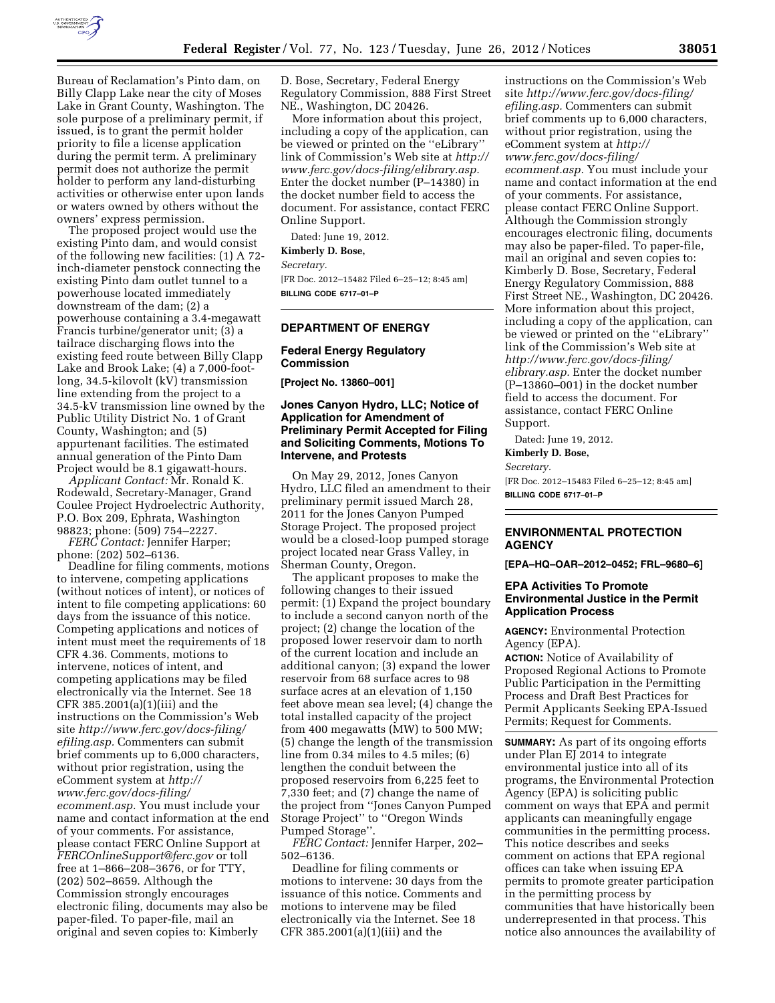

Bureau of Reclamation's Pinto dam, on Billy Clapp Lake near the city of Moses Lake in Grant County, Washington. The sole purpose of a preliminary permit, if issued, is to grant the permit holder priority to file a license application during the permit term. A preliminary permit does not authorize the permit holder to perform any land-disturbing activities or otherwise enter upon lands or waters owned by others without the owners' express permission.

The proposed project would use the existing Pinto dam, and would consist of the following new facilities: (1) A 72 inch-diameter penstock connecting the existing Pinto dam outlet tunnel to a powerhouse located immediately downstream of the dam; (2) a powerhouse containing a 3.4-megawatt Francis turbine/generator unit; (3) a tailrace discharging flows into the existing feed route between Billy Clapp Lake and Brook Lake; (4) a 7,000-footlong, 34.5-kilovolt (kV) transmission line extending from the project to a 34.5-kV transmission line owned by the Public Utility District No. 1 of Grant County, Washington; and (5) appurtenant facilities. The estimated annual generation of the Pinto Dam Project would be 8.1 gigawatt-hours.

*Applicant Contact:* Mr. Ronald K. Rodewald, Secretary-Manager, Grand Coulee Project Hydroelectric Authority, P.O. Box 209, Ephrata, Washington 98823; phone: (509) 754–2227.

*FERC Contact:* Jennifer Harper; phone: (202) 502–6136.

Deadline for filing comments, motions to intervene, competing applications (without notices of intent), or notices of intent to file competing applications: 60 days from the issuance of this notice. Competing applications and notices of intent must meet the requirements of 18 CFR 4.36. Comments, motions to intervene, notices of intent, and competing applications may be filed electronically via the Internet. See 18 CFR 385.2001(a)(1)(iii) and the instructions on the Commission's Web site *[http://www.ferc.gov/docs-filing/](http://www.ferc.gov/docs-filing/efiling.asp) [efiling.asp.](http://www.ferc.gov/docs-filing/efiling.asp)* Commenters can submit brief comments up to 6,000 characters, without prior registration, using the eComment system at *[http://](http://www.ferc.gov/docs-filing/ecomment.asp) [www.ferc.gov/docs-filing/](http://www.ferc.gov/docs-filing/ecomment.asp)  [ecomment.asp.](http://www.ferc.gov/docs-filing/ecomment.asp)* You must include your name and contact information at the end of your comments. For assistance, please contact FERC Online Support at *[FERCOnlineSupport@ferc.gov](mailto:FERCOnlineSupport@ferc.gov)* or toll free at 1–866–208–3676, or for TTY, (202) 502–8659. Although the Commission strongly encourages electronic filing, documents may also be paper-filed. To paper-file, mail an original and seven copies to: Kimberly

D. Bose, Secretary, Federal Energy Regulatory Commission, 888 First Street NE., Washington, DC 20426.

More information about this project, including a copy of the application, can be viewed or printed on the ''eLibrary'' link of Commission's Web site at *[http://](http://www.ferc.gov/docs-filing/elibrary.asp) [www.ferc.gov/docs-filing/elibrary.asp.](http://www.ferc.gov/docs-filing/elibrary.asp)*  Enter the docket number (P–14380) in the docket number field to access the document. For assistance, contact FERC Online Support.

Dated: June 19, 2012.

**Kimberly D. Bose,**  *Secretary.*  [FR Doc. 2012–15482 Filed 6–25–12; 8:45 am] **BILLING CODE 6717–01–P** 

# **DEPARTMENT OF ENERGY**

**Federal Energy Regulatory Commission** 

**[Project No. 13860–001]** 

# **Jones Canyon Hydro, LLC; Notice of Application for Amendment of Preliminary Permit Accepted for Filing and Soliciting Comments, Motions To Intervene, and Protests**

On May 29, 2012, Jones Canyon Hydro, LLC filed an amendment to their preliminary permit issued March 28, 2011 for the Jones Canyon Pumped Storage Project. The proposed project would be a closed-loop pumped storage project located near Grass Valley, in Sherman County, Oregon.

The applicant proposes to make the following changes to their issued permit: (1) Expand the project boundary to include a second canyon north of the project; (2) change the location of the proposed lower reservoir dam to north of the current location and include an additional canyon; (3) expand the lower reservoir from 68 surface acres to 98 surface acres at an elevation of 1,150 feet above mean sea level; (4) change the total installed capacity of the project from 400 megawatts (MW) to 500 MW; (5) change the length of the transmission line from 0.34 miles to 4.5 miles; (6) lengthen the conduit between the proposed reservoirs from 6,225 feet to 7,330 feet; and (7) change the name of the project from ''Jones Canyon Pumped Storage Project'' to ''Oregon Winds Pumped Storage''.

*FERC Contact:* Jennifer Harper, 202– 502–6136.

Deadline for filing comments or motions to intervene: 30 days from the issuance of this notice. Comments and motions to intervene may be filed electronically via the Internet. See 18 CFR 385.2001(a)(1)(iii) and the

instructions on the Commission's Web site *[http://www.ferc.gov/docs-filing/](http://www.ferc.gov/docs-filing/efiling.asp) [efiling.asp.](http://www.ferc.gov/docs-filing/efiling.asp)* Commenters can submit brief comments up to 6,000 characters, without prior registration, using the eComment system at *[http://](http://www.ferc.gov/docs-filing/ecomment.asp) [www.ferc.gov/docs-filing/](http://www.ferc.gov/docs-filing/ecomment.asp)  [ecomment.asp.](http://www.ferc.gov/docs-filing/ecomment.asp)* You must include your name and contact information at the end of your comments. For assistance, please contact FERC Online Support. Although the Commission strongly encourages electronic filing, documents may also be paper-filed. To paper-file, mail an original and seven copies to: Kimberly D. Bose, Secretary, Federal Energy Regulatory Commission, 888 First Street NE., Washington, DC 20426. More information about this project, including a copy of the application, can be viewed or printed on the ''eLibrary'' link of the Commission's Web site at *[http://www.ferc.gov/docs-filing/](http://www.ferc.gov/docs-filing/elibrary.asp) [elibrary.asp.](http://www.ferc.gov/docs-filing/elibrary.asp)* Enter the docket number (P–13860–001) in the docket number field to access the document. For assistance, contact FERC Online Support.

Dated: June 19, 2012.

**Kimberly D. Bose,** 

*Secretary.* 

[FR Doc. 2012–15483 Filed 6–25–12; 8:45 am] **BILLING CODE 6717–01–P** 

# **ENVIRONMENTAL PROTECTION AGENCY**

**[EPA–HQ–OAR–2012–0452; FRL–9680–6]** 

## **EPA Activities To Promote Environmental Justice in the Permit Application Process**

**AGENCY:** Environmental Protection Agency (EPA).

**ACTION:** Notice of Availability of Proposed Regional Actions to Promote Public Participation in the Permitting Process and Draft Best Practices for Permit Applicants Seeking EPA-Issued Permits; Request for Comments.

**SUMMARY:** As part of its ongoing efforts under Plan EJ 2014 to integrate environmental justice into all of its programs, the Environmental Protection Agency (EPA) is soliciting public comment on ways that EPA and permit applicants can meaningfully engage communities in the permitting process. This notice describes and seeks comment on actions that EPA regional offices can take when issuing EPA permits to promote greater participation in the permitting process by communities that have historically been underrepresented in that process. This notice also announces the availability of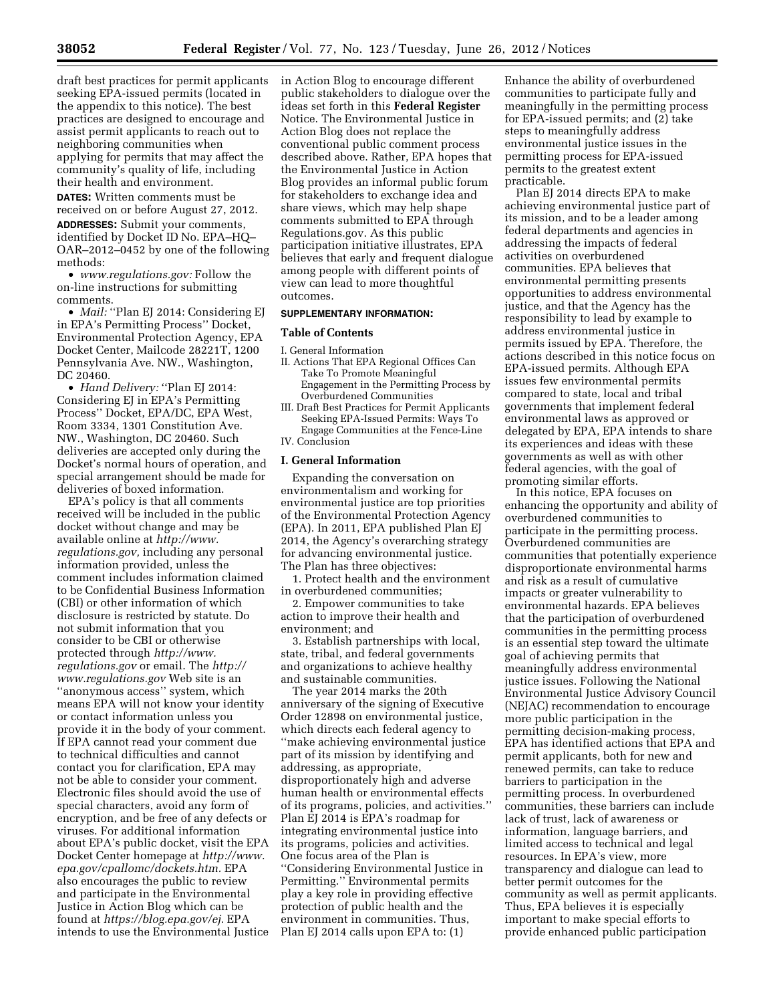draft best practices for permit applicants seeking EPA-issued permits (located in the appendix to this notice). The best practices are designed to encourage and assist permit applicants to reach out to neighboring communities when applying for permits that may affect the community's quality of life, including their health and environment.

**DATES:** Written comments must be received on or before August 27, 2012. **ADDRESSES:** Submit your comments, identified by Docket ID No. EPA–HQ– OAR–2012–0452 by one of the following methods:

• *[www.regulations.gov:](http://www.regulations.gov)* Follow the on-line instructions for submitting comments.

• *Mail:* "Plan EJ 2014: Considering EJ in EPA's Permitting Process'' Docket, Environmental Protection Agency, EPA Docket Center, Mailcode 28221T, 1200 Pennsylvania Ave. NW., Washington, DC 20460.

• *Hand Delivery:* ''Plan EJ 2014: Considering EJ in EPA's Permitting Process'' Docket, EPA/DC, EPA West, Room 3334, 1301 Constitution Ave. NW., Washington, DC 20460. Such deliveries are accepted only during the Docket's normal hours of operation, and special arrangement should be made for deliveries of boxed information.

EPA's policy is that all comments received will be included in the public docket without change and may be available online at *[http://www.](http://www.regulations.gov) [regulations.gov,](http://www.regulations.gov)* including any personal information provided, unless the comment includes information claimed to be Confidential Business Information (CBI) or other information of which disclosure is restricted by statute. Do not submit information that you consider to be CBI or otherwise protected through *[http://www.](http://www.regulations.gov) [regulations.gov](http://www.regulations.gov)* or email. The *[http://](http://www.regulations.gov) [www.regulations.gov](http://www.regulations.gov)* Web site is an ''anonymous access'' system, which means EPA will not know your identity or contact information unless you provide it in the body of your comment. If EPA cannot read your comment due to technical difficulties and cannot contact you for clarification, EPA may not be able to consider your comment. Electronic files should avoid the use of special characters, avoid any form of encryption, and be free of any defects or viruses. For additional information about EPA's public docket, visit the EPA Docket Center homepage at *[http://www.](http://www.epa.gov/cpallomc/dockets.htm) [epa.gov/cpallomc/dockets.htm.](http://www.epa.gov/cpallomc/dockets.htm)* EPA also encourages the public to review and participate in the Environmental Justice in Action Blog which can be found at *[https://blog.epa.gov/ej.](https://blog.epa.gov/ej)* EPA intends to use the Environmental Justice in Action Blog to encourage different public stakeholders to dialogue over the ideas set forth in this **Federal Register**  Notice. The Environmental Justice in Action Blog does not replace the conventional public comment process described above. Rather, EPA hopes that the Environmental Justice in Action Blog provides an informal public forum for stakeholders to exchange idea and share views, which may help shape comments submitted to EPA through Regulations.gov. As this public participation initiative illustrates, EPA believes that early and frequent dialogue among people with different points of view can lead to more thoughtful outcomes.

# **SUPPLEMENTARY INFORMATION:**

## **Table of Contents**

- I. General Information II. Actions That EPA Regional Offices Can Take To Promote Meaningful Engagement in the Permitting Process by Overburdened Communities
- III. Draft Best Practices for Permit Applicants Seeking EPA-Issued Permits: Ways To Engage Communities at the Fence-Line IV. Conclusion

#### **I. General Information**

Expanding the conversation on environmentalism and working for environmental justice are top priorities of the Environmental Protection Agency (EPA). In 2011, EPA published Plan EJ 2014, the Agency's overarching strategy for advancing environmental justice. The Plan has three objectives:

1. Protect health and the environment in overburdened communities;

2. Empower communities to take action to improve their health and environment; and

3. Establish partnerships with local, state, tribal, and federal governments and organizations to achieve healthy and sustainable communities.

The year 2014 marks the 20th anniversary of the signing of Executive Order 12898 on environmental justice, which directs each federal agency to ''make achieving environmental justice part of its mission by identifying and addressing, as appropriate, disproportionately high and adverse human health or environmental effects of its programs, policies, and activities.'' Plan EJ 2014 is EPA's roadmap for integrating environmental justice into its programs, policies and activities. One focus area of the Plan is ''Considering Environmental Justice in Permitting.'' Environmental permits play a key role in providing effective protection of public health and the environment in communities. Thus, Plan EJ 2014 calls upon EPA to: (1)

Enhance the ability of overburdened communities to participate fully and meaningfully in the permitting process for EPA-issued permits; and (2) take steps to meaningfully address environmental justice issues in the permitting process for EPA-issued permits to the greatest extent practicable.

Plan EJ 2014 directs EPA to make achieving environmental justice part of its mission, and to be a leader among federal departments and agencies in addressing the impacts of federal activities on overburdened communities. EPA believes that environmental permitting presents opportunities to address environmental justice, and that the Agency has the responsibility to lead by example to address environmental justice in permits issued by EPA. Therefore, the actions described in this notice focus on EPA-issued permits. Although EPA issues few environmental permits compared to state, local and tribal governments that implement federal environmental laws as approved or delegated by EPA, EPA intends to share its experiences and ideas with these governments as well as with other federal agencies, with the goal of promoting similar efforts.

In this notice, EPA focuses on enhancing the opportunity and ability of overburdened communities to participate in the permitting process. Overburdened communities are communities that potentially experience disproportionate environmental harms and risk as a result of cumulative impacts or greater vulnerability to environmental hazards. EPA believes that the participation of overburdened communities in the permitting process is an essential step toward the ultimate goal of achieving permits that meaningfully address environmental justice issues. Following the National Environmental Justice Advisory Council (NEJAC) recommendation to encourage more public participation in the permitting decision-making process, EPA has identified actions that EPA and permit applicants, both for new and renewed permits, can take to reduce barriers to participation in the permitting process. In overburdened communities, these barriers can include lack of trust, lack of awareness or information, language barriers, and limited access to technical and legal resources. In EPA's view, more transparency and dialogue can lead to better permit outcomes for the community as well as permit applicants. Thus, EPA believes it is especially important to make special efforts to provide enhanced public participation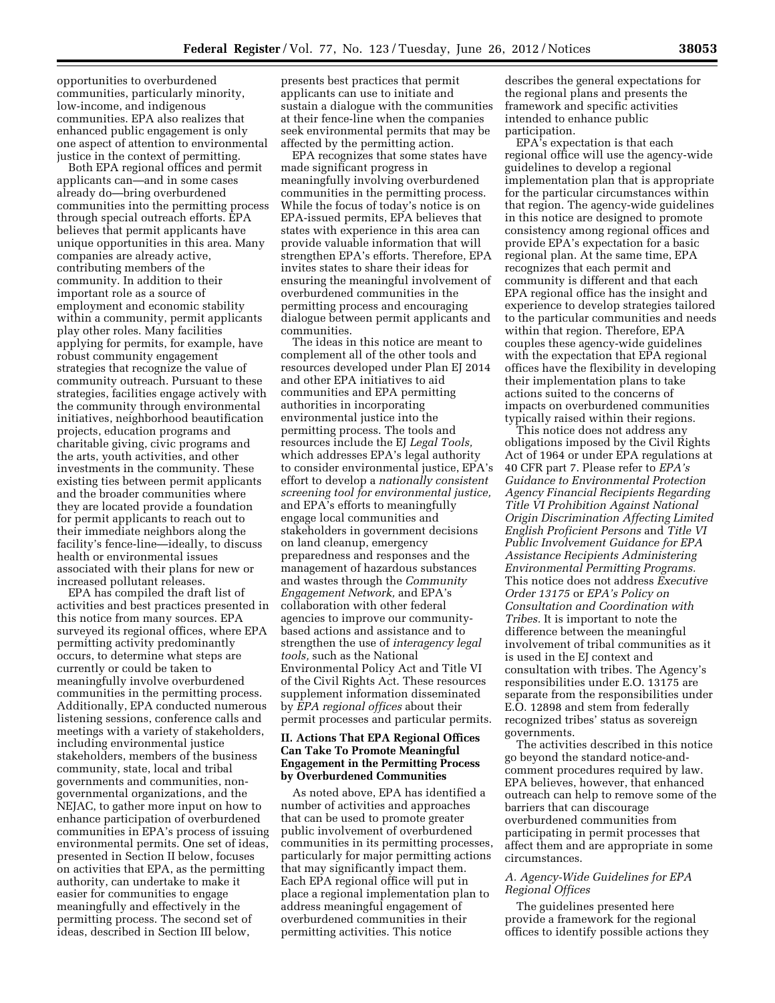opportunities to overburdened communities, particularly minority, low-income, and indigenous communities. EPA also realizes that enhanced public engagement is only one aspect of attention to environmental justice in the context of permitting.

Both EPA regional offices and permit applicants can—and in some cases already do—bring overburdened communities into the permitting process through special outreach efforts. EPA believes that permit applicants have unique opportunities in this area. Many companies are already active, contributing members of the community. In addition to their important role as a source of employment and economic stability within a community, permit applicants play other roles. Many facilities applying for permits, for example, have robust community engagement strategies that recognize the value of community outreach. Pursuant to these strategies, facilities engage actively with the community through environmental initiatives, neighborhood beautification projects, education programs and charitable giving, civic programs and the arts, youth activities, and other investments in the community. These existing ties between permit applicants and the broader communities where they are located provide a foundation for permit applicants to reach out to their immediate neighbors along the facility's fence-line—ideally, to discuss health or environmental issues associated with their plans for new or increased pollutant releases.

EPA has compiled the draft list of activities and best practices presented in this notice from many sources. EPA surveyed its regional offices, where EPA permitting activity predominantly occurs, to determine what steps are currently or could be taken to meaningfully involve overburdened communities in the permitting process. Additionally, EPA conducted numerous listening sessions, conference calls and meetings with a variety of stakeholders, including environmental justice stakeholders, members of the business community, state, local and tribal governments and communities, nongovernmental organizations, and the NEJAC, to gather more input on how to enhance participation of overburdened communities in EPA's process of issuing environmental permits. One set of ideas, presented in Section II below, focuses on activities that EPA, as the permitting authority, can undertake to make it easier for communities to engage meaningfully and effectively in the permitting process. The second set of ideas, described in Section III below,

presents best practices that permit applicants can use to initiate and sustain a dialogue with the communities at their fence-line when the companies seek environmental permits that may be affected by the permitting action.

EPA recognizes that some states have made significant progress in meaningfully involving overburdened communities in the permitting process. While the focus of today's notice is on EPA-issued permits, EPA believes that states with experience in this area can provide valuable information that will strengthen EPA's efforts. Therefore, EPA invites states to share their ideas for ensuring the meaningful involvement of overburdened communities in the permitting process and encouraging dialogue between permit applicants and communities.

The ideas in this notice are meant to complement all of the other tools and resources developed under Plan EJ 2014 and other EPA initiatives to aid communities and EPA permitting authorities in incorporating environmental justice into the permitting process. The tools and resources include the EJ *Legal Tools,*  which addresses EPA's legal authority to consider environmental justice, EPA's effort to develop a *nationally consistent screening tool for environmental justice,*  and EPA's efforts to meaningfully engage local communities and stakeholders in government decisions on land cleanup, emergency preparedness and responses and the management of hazardous substances and wastes through the *Community Engagement Network,* and EPA's collaboration with other federal agencies to improve our communitybased actions and assistance and to strengthen the use of *interagency legal tools,* such as the National Environmental Policy Act and Title VI of the Civil Rights Act. These resources supplement information disseminated by *EPA regional offices* about their permit processes and particular permits.

# **II. Actions That EPA Regional Offices Can Take To Promote Meaningful Engagement in the Permitting Process by Overburdened Communities**

As noted above, EPA has identified a number of activities and approaches that can be used to promote greater public involvement of overburdened communities in its permitting processes, particularly for major permitting actions that may significantly impact them. Each EPA regional office will put in place a regional implementation plan to address meaningful engagement of overburdened communities in their permitting activities. This notice

describes the general expectations for the regional plans and presents the framework and specific activities intended to enhance public participation.

EPA's expectation is that each regional office will use the agency-wide guidelines to develop a regional implementation plan that is appropriate for the particular circumstances within that region. The agency-wide guidelines in this notice are designed to promote consistency among regional offices and provide EPA's expectation for a basic regional plan. At the same time, EPA recognizes that each permit and community is different and that each EPA regional office has the insight and experience to develop strategies tailored to the particular communities and needs within that region. Therefore, EPA couples these agency-wide guidelines with the expectation that EPA regional offices have the flexibility in developing their implementation plans to take actions suited to the concerns of impacts on overburdened communities typically raised within their regions.

This notice does not address any obligations imposed by the Civil Rights Act of 1964 or under EPA regulations at 40 CFR part 7. Please refer to *EPA's Guidance to Environmental Protection Agency Financial Recipients Regarding Title VI Prohibition Against National Origin Discrimination Affecting Limited English Proficient Persons* and *Title VI Public Involvement Guidance for EPA Assistance Recipients Administering Environmental Permitting Programs.*  This notice does not address *Executive Order 13175* or *EPA's Policy on Consultation and Coordination with Tribes.* It is important to note the difference between the meaningful involvement of tribal communities as it is used in the EJ context and consultation with tribes. The Agency's responsibilities under E.O. 13175 are separate from the responsibilities under E.O. 12898 and stem from federally recognized tribes' status as sovereign governments.

The activities described in this notice go beyond the standard notice-andcomment procedures required by law. EPA believes, however, that enhanced outreach can help to remove some of the barriers that can discourage overburdened communities from participating in permit processes that affect them and are appropriate in some circumstances.

## *A. Agency-Wide Guidelines for EPA Regional Offices*

The guidelines presented here provide a framework for the regional offices to identify possible actions they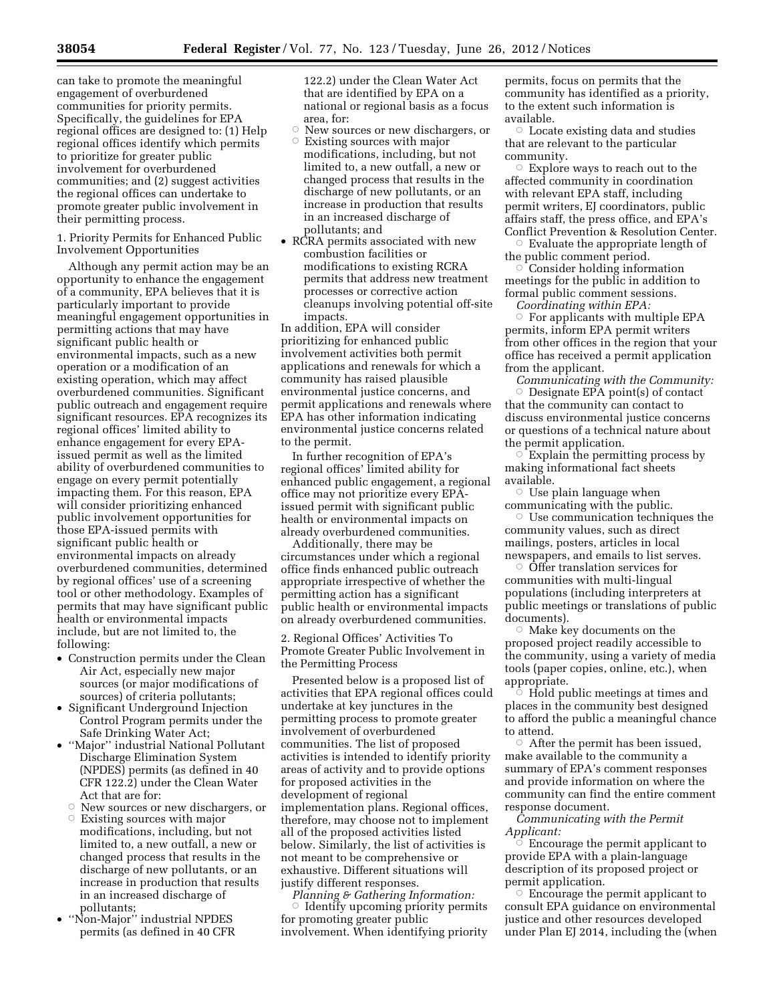can take to promote the meaningful engagement of overburdened communities for priority permits. Specifically, the guidelines for EPA regional offices are designed to: (1) Help regional offices identify which permits to prioritize for greater public involvement for overburdened communities; and (2) suggest activities the regional offices can undertake to promote greater public involvement in their permitting process.

1. Priority Permits for Enhanced Public Involvement Opportunities

Although any permit action may be an opportunity to enhance the engagement of a community, EPA believes that it is particularly important to provide meaningful engagement opportunities in permitting actions that may have significant public health or environmental impacts, such as a new operation or a modification of an existing operation, which may affect overburdened communities. Significant public outreach and engagement require significant resources. EPA recognizes its regional offices' limited ability to enhance engagement for every EPAissued permit as well as the limited ability of overburdened communities to engage on every permit potentially impacting them. For this reason, EPA will consider prioritizing enhanced public involvement opportunities for those EPA-issued permits with significant public health or environmental impacts on already overburdened communities, determined by regional offices' use of a screening tool or other methodology. Examples of permits that may have significant public health or environmental impacts include, but are not limited to, the following:

- Construction permits under the Clean Air Act, especially new major sources (or major modifications of sources) of criteria pollutants;
- Significant Underground Injection Control Program permits under the Safe Drinking Water Act;
- ''Major'' industrial National Pollutant Discharge Elimination System (NPDES) permits (as defined in 40 CFR 122.2) under the Clean Water Act that are for:
- Rew sources or new dischargers, or
- $\circ$  Existing sources with major modifications, including, but not limited to, a new outfall, a new or changed process that results in the discharge of new pollutants, or an increase in production that results in an increased discharge of pollutants;
- ''Non-Major'' industrial NPDES permits (as defined in 40 CFR

122.2) under the Clean Water Act that are identified by EPA on a national or regional basis as a focus area, for:

- Æ New sources or new dischargers, or  $\circ$  Existing sources with major modifications, including, but not limited to, a new outfall, a new or changed process that results in the discharge of new pollutants, or an increase in production that results in an increased discharge of pollutants; and
- RCRA permits associated with new combustion facilities or modifications to existing RCRA permits that address new treatment processes or corrective action cleanups involving potential off-site impacts.

In addition, EPA will consider prioritizing for enhanced public involvement activities both permit applications and renewals for which a community has raised plausible environmental justice concerns, and permit applications and renewals where EPA has other information indicating environmental justice concerns related to the permit.

In further recognition of EPA's regional offices' limited ability for enhanced public engagement, a regional office may not prioritize every EPAissued permit with significant public health or environmental impacts on already overburdened communities.

Additionally, there may be circumstances under which a regional office finds enhanced public outreach appropriate irrespective of whether the permitting action has a significant public health or environmental impacts on already overburdened communities.

2. Regional Offices' Activities To Promote Greater Public Involvement in the Permitting Process

Presented below is a proposed list of activities that EPA regional offices could undertake at key junctures in the permitting process to promote greater involvement of overburdened communities. The list of proposed activities is intended to identify priority areas of activity and to provide options for proposed activities in the development of regional implementation plans. Regional offices, therefore, may choose not to implement all of the proposed activities listed below. Similarly, the list of activities is not meant to be comprehensive or exhaustive. Different situations will justify different responses.

*Planning & Gathering Information:*  ■ Identify upcoming priority permits for promoting greater public involvement. When identifying priority

permits, focus on permits that the community has identified as a priority, to the extent such information is available.

 $\circ$  Locate existing data and studies that are relevant to the particular community.

 $\circ$  Explore ways to reach out to the affected community in coordination with relevant EPA staff, including permit writers, EJ coordinators, public affairs staff, the press office, and EPA's Conflict Prevention & Resolution Center.

 $\circ$  Evaluate the appropriate length of the public comment period.

 $\circ$  Consider holding information meetings for the public in addition to formal public comment sessions.

*Coordinating within EPA:* 

 $\circ$  For applicants with multiple EPA permits, inform EPA permit writers from other offices in the region that your office has received a permit application from the applicant.

*Communicating with the Community:*  Æ Designate EPA point(s) of contact that the community can contact to discuss environmental justice concerns or questions of a technical nature about the permit application.

 $\circ$  Explain the permitting process by making informational fact sheets available.

 $\circ$  Use plain language when communicating with the public.

 $\circ$  Use communication techniques the community values, such as direct mailings, posters, articles in local newspapers, and emails to list serves.

 $\circ$  Offer translation services for communities with multi-lingual populations (including interpreters at public meetings or translations of public documents).

 $\circ$  Make key documents on the proposed project readily accessible to the community, using a variety of media tools (paper copies, online, etc.), when appropriate.

 $\stackrel{\scriptscriptstyle \bullet}{\circ}$  Hold public meetings at times and places in the community best designed to afford the public a meaningful chance to attend.

Æ After the permit has been issued, make available to the community a summary of EPA's comment responses and provide information on where the community can find the entire comment response document.

*Communicating with the Permit Applicant:*  Æ

 Encourage the permit applicant to provide EPA with a plain-language description of its proposed project or permit application.

 $\circ$  Encourage the permit applicant to consult EPA guidance on environmental justice and other resources developed under Plan EJ 2014, including the (when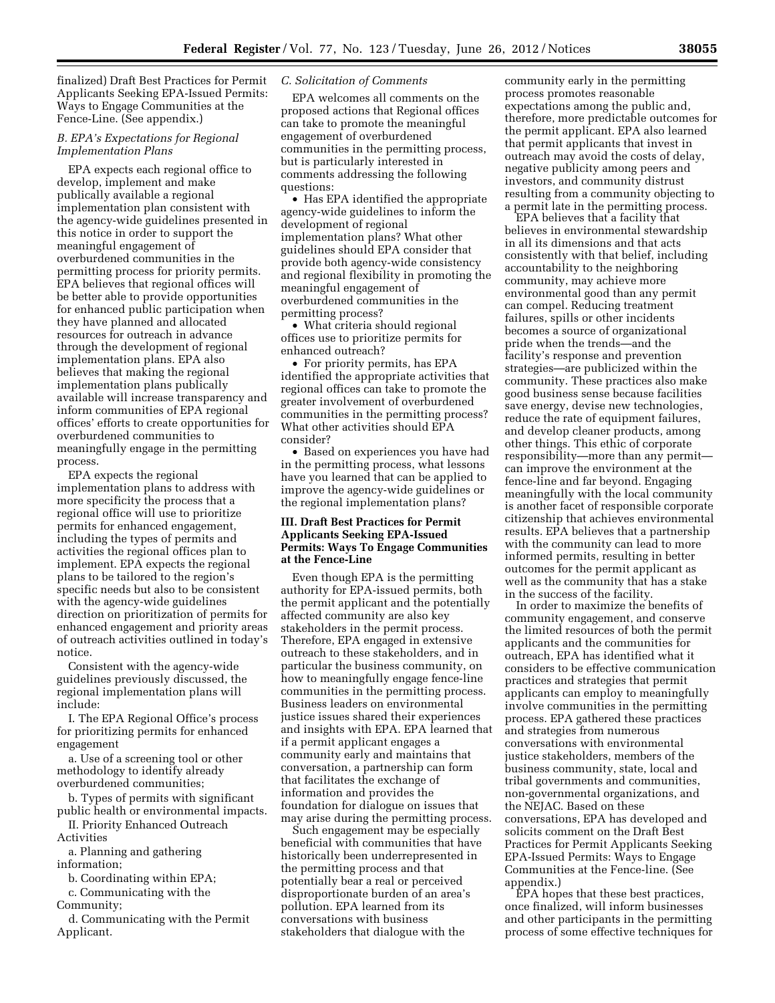finalized) Draft Best Practices for Permit Applicants Seeking EPA-Issued Permits: Ways to Engage Communities at the Fence-Line. (See appendix.)

# *B. EPA's Expectations for Regional Implementation Plans*

EPA expects each regional office to develop, implement and make publically available a regional implementation plan consistent with the agency-wide guidelines presented in this notice in order to support the meaningful engagement of overburdened communities in the permitting process for priority permits. EPA believes that regional offices will be better able to provide opportunities for enhanced public participation when they have planned and allocated resources for outreach in advance through the development of regional implementation plans. EPA also believes that making the regional implementation plans publically available will increase transparency and inform communities of EPA regional offices' efforts to create opportunities for overburdened communities to meaningfully engage in the permitting process.

EPA expects the regional implementation plans to address with more specificity the process that a regional office will use to prioritize permits for enhanced engagement, including the types of permits and activities the regional offices plan to implement. EPA expects the regional plans to be tailored to the region's specific needs but also to be consistent with the agency-wide guidelines direction on prioritization of permits for enhanced engagement and priority areas of outreach activities outlined in today's notice.

Consistent with the agency-wide guidelines previously discussed, the regional implementation plans will include:

I. The EPA Regional Office's process for prioritizing permits for enhanced engagement

a. Use of a screening tool or other methodology to identify already overburdened communities;

b. Types of permits with significant public health or environmental impacts.

II. Priority Enhanced Outreach Activities

a. Planning and gathering information;

b. Coordinating within EPA;

c. Communicating with the Community;

d. Communicating with the Permit Applicant.

# *C. Solicitation of Comments*

EPA welcomes all comments on the proposed actions that Regional offices can take to promote the meaningful engagement of overburdened communities in the permitting process, but is particularly interested in comments addressing the following questions:

• Has EPA identified the appropriate agency-wide guidelines to inform the development of regional implementation plans? What other guidelines should EPA consider that provide both agency-wide consistency and regional flexibility in promoting the meaningful engagement of overburdened communities in the permitting process?

• What criteria should regional offices use to prioritize permits for enhanced outreach?

• For priority permits, has EPA identified the appropriate activities that regional offices can take to promote the greater involvement of overburdened communities in the permitting process? What other activities should EPA consider?

• Based on experiences you have had in the permitting process, what lessons have you learned that can be applied to improve the agency-wide guidelines or the regional implementation plans?

# **III. Draft Best Practices for Permit Applicants Seeking EPA-Issued Permits: Ways To Engage Communities at the Fence-Line**

Even though EPA is the permitting authority for EPA-issued permits, both the permit applicant and the potentially affected community are also key stakeholders in the permit process. Therefore, EPA engaged in extensive outreach to these stakeholders, and in particular the business community, on how to meaningfully engage fence-line communities in the permitting process. Business leaders on environmental justice issues shared their experiences and insights with EPA. EPA learned that if a permit applicant engages a community early and maintains that conversation, a partnership can form that facilitates the exchange of information and provides the foundation for dialogue on issues that may arise during the permitting process.

Such engagement may be especially beneficial with communities that have historically been underrepresented in the permitting process and that potentially bear a real or perceived disproportionate burden of an area's pollution. EPA learned from its conversations with business stakeholders that dialogue with the

community early in the permitting process promotes reasonable expectations among the public and, therefore, more predictable outcomes for the permit applicant. EPA also learned that permit applicants that invest in outreach may avoid the costs of delay, negative publicity among peers and investors, and community distrust resulting from a community objecting to a permit late in the permitting process.

EPA believes that a facility that believes in environmental stewardship in all its dimensions and that acts consistently with that belief, including accountability to the neighboring community, may achieve more environmental good than any permit can compel. Reducing treatment failures, spills or other incidents becomes a source of organizational pride when the trends—and the facility's response and prevention strategies—are publicized within the community. These practices also make good business sense because facilities save energy, devise new technologies, reduce the rate of equipment failures, and develop cleaner products, among other things. This ethic of corporate responsibility—more than any permit can improve the environment at the fence-line and far beyond. Engaging meaningfully with the local community is another facet of responsible corporate citizenship that achieves environmental results. EPA believes that a partnership with the community can lead to more informed permits, resulting in better outcomes for the permit applicant as well as the community that has a stake in the success of the facility.

In order to maximize the benefits of community engagement, and conserve the limited resources of both the permit applicants and the communities for outreach, EPA has identified what it considers to be effective communication practices and strategies that permit applicants can employ to meaningfully involve communities in the permitting process. EPA gathered these practices and strategies from numerous conversations with environmental justice stakeholders, members of the business community, state, local and tribal governments and communities, non-governmental organizations, and the NEJAC. Based on these conversations, EPA has developed and solicits comment on the Draft Best Practices for Permit Applicants Seeking EPA-Issued Permits: Ways to Engage Communities at the Fence-line. (See appendix.)

EPA hopes that these best practices, once finalized, will inform businesses and other participants in the permitting process of some effective techniques for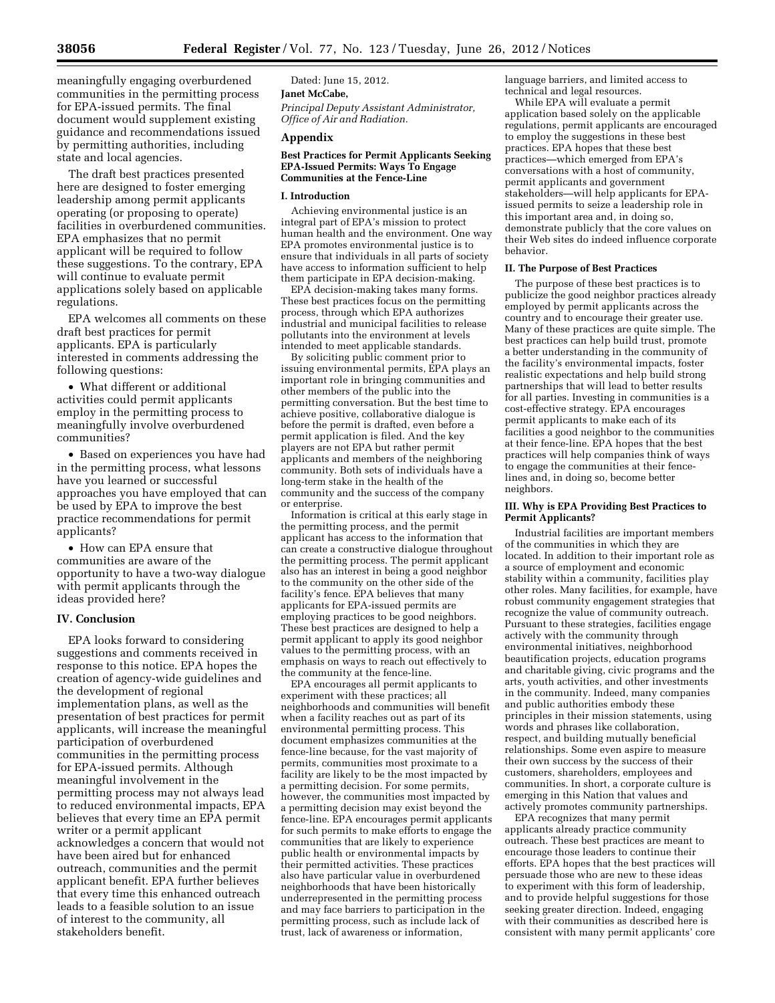meaningfully engaging overburdened communities in the permitting process for EPA-issued permits. The final document would supplement existing guidance and recommendations issued by permitting authorities, including state and local agencies.

The draft best practices presented here are designed to foster emerging leadership among permit applicants operating (or proposing to operate) facilities in overburdened communities. EPA emphasizes that no permit applicant will be required to follow these suggestions. To the contrary, EPA will continue to evaluate permit applications solely based on applicable regulations.

EPA welcomes all comments on these draft best practices for permit applicants. EPA is particularly interested in comments addressing the following questions:

• What different or additional activities could permit applicants employ in the permitting process to meaningfully involve overburdened communities?

• Based on experiences you have had in the permitting process, what lessons have you learned or successful approaches you have employed that can be used by EPA to improve the best practice recommendations for permit applicants?

• How can EPA ensure that communities are aware of the opportunity to have a two-way dialogue with permit applicants through the ideas provided here?

# **IV. Conclusion**

EPA looks forward to considering suggestions and comments received in response to this notice. EPA hopes the creation of agency-wide guidelines and the development of regional implementation plans, as well as the presentation of best practices for permit applicants, will increase the meaningful participation of overburdened communities in the permitting process for EPA-issued permits. Although meaningful involvement in the permitting process may not always lead to reduced environmental impacts, EPA believes that every time an EPA permit writer or a permit applicant acknowledges a concern that would not have been aired but for enhanced outreach, communities and the permit applicant benefit. EPA further believes that every time this enhanced outreach leads to a feasible solution to an issue of interest to the community, all stakeholders benefit.

Dated: June 15, 2012. **Janet McCabe,**  *Principal Deputy Assistant Administrator, Office of Air and Radiation.* 

### **Appendix**

## **Best Practices for Permit Applicants Seeking EPA-Issued Permits: Ways To Engage Communities at the Fence-Line**

#### **I. Introduction**

Achieving environmental justice is an integral part of EPA's mission to protect human health and the environment. One way EPA promotes environmental justice is to ensure that individuals in all parts of society have access to information sufficient to help them participate in EPA decision-making.

EPA decision-making takes many forms. These best practices focus on the permitting process, through which EPA authorizes industrial and municipal facilities to release pollutants into the environment at levels intended to meet applicable standards.

By soliciting public comment prior to issuing environmental permits, EPA plays an important role in bringing communities and other members of the public into the permitting conversation. But the best time to achieve positive, collaborative dialogue is before the permit is drafted, even before a permit application is filed. And the key players are not EPA but rather permit applicants and members of the neighboring community. Both sets of individuals have a long-term stake in the health of the community and the success of the company or enterprise.

Information is critical at this early stage in the permitting process, and the permit applicant has access to the information that can create a constructive dialogue throughout the permitting process. The permit applicant also has an interest in being a good neighbor to the community on the other side of the facility's fence. EPA believes that many applicants for EPA-issued permits are employing practices to be good neighbors. These best practices are designed to help a permit applicant to apply its good neighbor values to the permitting process, with an emphasis on ways to reach out effectively to the community at the fence-line.

EPA encourages all permit applicants to experiment with these practices; all neighborhoods and communities will benefit when a facility reaches out as part of its environmental permitting process. This document emphasizes communities at the fence-line because, for the vast majority of permits, communities most proximate to a facility are likely to be the most impacted by a permitting decision. For some permits, however, the communities most impacted by a permitting decision may exist beyond the fence-line. EPA encourages permit applicants for such permits to make efforts to engage the communities that are likely to experience public health or environmental impacts by their permitted activities. These practices also have particular value in overburdened neighborhoods that have been historically underrepresented in the permitting process and may face barriers to participation in the permitting process, such as include lack of trust, lack of awareness or information,

language barriers, and limited access to technical and legal resources.

While EPA will evaluate a permit application based solely on the applicable regulations, permit applicants are encouraged to employ the suggestions in these best practices. EPA hopes that these best practices—which emerged from EPA's conversations with a host of community, permit applicants and government stakeholders—will help applicants for EPAissued permits to seize a leadership role in this important area and, in doing so, demonstrate publicly that the core values on their Web sites do indeed influence corporate behavior.

#### **II. The Purpose of Best Practices**

The purpose of these best practices is to publicize the good neighbor practices already employed by permit applicants across the country and to encourage their greater use. Many of these practices are quite simple. The best practices can help build trust, promote a better understanding in the community of the facility's environmental impacts, foster realistic expectations and help build strong partnerships that will lead to better results for all parties. Investing in communities is a cost-effective strategy. EPA encourages permit applicants to make each of its facilities a good neighbor to the communities at their fence-line. EPA hopes that the best practices will help companies think of ways to engage the communities at their fencelines and, in doing so, become better neighbors.

## **III. Why is EPA Providing Best Practices to Permit Applicants?**

Industrial facilities are important members of the communities in which they are located. In addition to their important role as a source of employment and economic stability within a community, facilities play other roles. Many facilities, for example, have robust community engagement strategies that recognize the value of community outreach. Pursuant to these strategies, facilities engage actively with the community through environmental initiatives, neighborhood beautification projects, education programs and charitable giving, civic programs and the arts, youth activities, and other investments in the community. Indeed, many companies and public authorities embody these principles in their mission statements, using words and phrases like collaboration, respect, and building mutually beneficial relationships. Some even aspire to measure their own success by the success of their customers, shareholders, employees and communities. In short, a corporate culture is emerging in this Nation that values and actively promotes community partnerships.

EPA recognizes that many permit applicants already practice community outreach. These best practices are meant to encourage those leaders to continue their efforts. EPA hopes that the best practices will persuade those who are new to these ideas to experiment with this form of leadership, and to provide helpful suggestions for those seeking greater direction. Indeed, engaging with their communities as described here is consistent with many permit applicants' core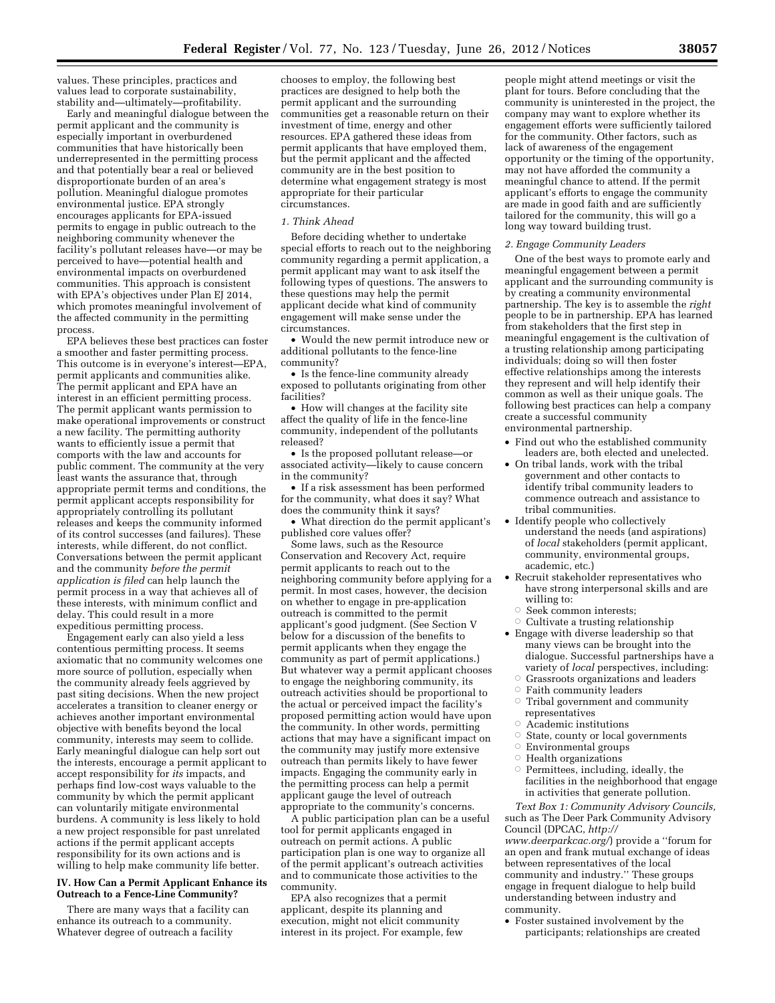values. These principles, practices and values lead to corporate sustainability, stability and—ultimately—profitability.

Early and meaningful dialogue between the permit applicant and the community is especially important in overburdened communities that have historically been underrepresented in the permitting process and that potentially bear a real or believed disproportionate burden of an area's pollution. Meaningful dialogue promotes environmental justice. EPA strongly encourages applicants for EPA-issued permits to engage in public outreach to the neighboring community whenever the facility's pollutant releases have—or may be perceived to have—potential health and environmental impacts on overburdened communities. This approach is consistent with EPA's objectives under Plan EJ 2014, which promotes meaningful involvement of the affected community in the permitting process.

EPA believes these best practices can foster a smoother and faster permitting process. This outcome is in everyone's interest—EPA, permit applicants and communities alike. The permit applicant and EPA have an interest in an efficient permitting process. The permit applicant wants permission to make operational improvements or construct a new facility. The permitting authority wants to efficiently issue a permit that comports with the law and accounts for public comment. The community at the very least wants the assurance that, through appropriate permit terms and conditions, the permit applicant accepts responsibility for appropriately controlling its pollutant releases and keeps the community informed of its control successes (and failures). These interests, while different, do not conflict. Conversations between the permit applicant and the community *before the permit application is filed* can help launch the permit process in a way that achieves all of these interests, with minimum conflict and delay. This could result in a more expeditious permitting process.

Engagement early can also yield a less contentious permitting process. It seems axiomatic that no community welcomes one more source of pollution, especially when the community already feels aggrieved by past siting decisions. When the new project accelerates a transition to cleaner energy or achieves another important environmental objective with benefits beyond the local community, interests may seem to collide. Early meaningful dialogue can help sort out the interests, encourage a permit applicant to accept responsibility for *its* impacts, and perhaps find low-cost ways valuable to the community by which the permit applicant can voluntarily mitigate environmental burdens. A community is less likely to hold a new project responsible for past unrelated actions if the permit applicant accepts responsibility for its own actions and is willing to help make community life better.

## **IV. How Can a Permit Applicant Enhance its Outreach to a Fence-Line Community?**

There are many ways that a facility can enhance its outreach to a community. Whatever degree of outreach a facility

chooses to employ, the following best practices are designed to help both the permit applicant and the surrounding communities get a reasonable return on their investment of time, energy and other resources. EPA gathered these ideas from permit applicants that have employed them, but the permit applicant and the affected community are in the best position to determine what engagement strategy is most appropriate for their particular circumstances.

#### *1. Think Ahead*

Before deciding whether to undertake special efforts to reach out to the neighboring community regarding a permit application, a permit applicant may want to ask itself the following types of questions. The answers to these questions may help the permit applicant decide what kind of community engagement will make sense under the circumstances.

• Would the new permit introduce new or additional pollutants to the fence-line community?

• Is the fence-line community already exposed to pollutants originating from other facilities?

• How will changes at the facility site affect the quality of life in the fence-line community, independent of the pollutants released?

• Is the proposed pollutant release—or associated activity—likely to cause concern in the community?

• If a risk assessment has been performed for the community, what does it say? What does the community think it says?

• What direction do the permit applicant's published core values offer?

Some laws, such as the Resource Conservation and Recovery Act, require permit applicants to reach out to the neighboring community before applying for a permit. In most cases, however, the decision on whether to engage in pre-application outreach is committed to the permit applicant's good judgment. (See Section V below for a discussion of the benefits to permit applicants when they engage the community as part of permit applications.) But whatever way a permit applicant chooses to engage the neighboring community, its outreach activities should be proportional to the actual or perceived impact the facility's proposed permitting action would have upon the community. In other words, permitting actions that may have a significant impact on the community may justify more extensive outreach than permits likely to have fewer impacts. Engaging the community early in the permitting process can help a permit applicant gauge the level of outreach appropriate to the community's concerns.

A public participation plan can be a useful tool for permit applicants engaged in outreach on permit actions. A public participation plan is one way to organize all of the permit applicant's outreach activities and to communicate those activities to the community.

EPA also recognizes that a permit applicant, despite its planning and execution, might not elicit community interest in its project. For example, few

people might attend meetings or visit the plant for tours. Before concluding that the community is uninterested in the project, the company may want to explore whether its engagement efforts were sufficiently tailored for the community. Other factors, such as lack of awareness of the engagement opportunity or the timing of the opportunity, may not have afforded the community a meaningful chance to attend. If the permit applicant's efforts to engage the community are made in good faith and are sufficiently tailored for the community, this will go a long way toward building trust.

#### *2. Engage Community Leaders*

One of the best ways to promote early and meaningful engagement between a permit applicant and the surrounding community is by creating a community environmental partnership. The key is to assemble the *right*  people to be in partnership. EPA has learned from stakeholders that the first step in meaningful engagement is the cultivation of a trusting relationship among participating individuals; doing so will then foster effective relationships among the interests they represent and will help identify their common as well as their unique goals. The following best practices can help a company create a successful community environmental partnership.

- Find out who the established community leaders are, both elected and unelected.
- On tribal lands, work with the tribal government and other contacts to identify tribal community leaders to commence outreach and assistance to tribal communities.
- Identify people who collectively understand the needs (and aspirations) of *local* stakeholders (permit applicant, community, environmental groups, academic, etc.)
- Recruit stakeholder representatives who have strong interpersonal skills and are willing to:
	- Æ Seek common interests;
- $\circ$  Cultivate a trusting relationship • Engage with diverse leadership so that many views can be brought into the dialogue. Successful partnerships have a variety of *local* perspectives, including:
	- $\circ$  Grassroots organizations and leaders
- $\circ$  Faith community leaders
- $\circ$  Tribal government and community representatives
- $\circ$  Academic institutions
- State, county or local governments
- $\circ$  Environmental groups
- $\circ$  Health organizations
- $\circ$  Permittees, including, ideally, the facilities in the neighborhood that engage in activities that generate pollution.

*Text Box 1: Community Advisory Councils,*  such as The Deer Park Community Advisory Council (DPCAC, *[http://](http://www.deerparkcac.org/)* 

*[www.deerparkcac.org/](http://www.deerparkcac.org/)*) provide a ''forum for an open and frank mutual exchange of ideas between representatives of the local community and industry.'' These groups engage in frequent dialogue to help build understanding between industry and community.

• Foster sustained involvement by the participants; relationships are created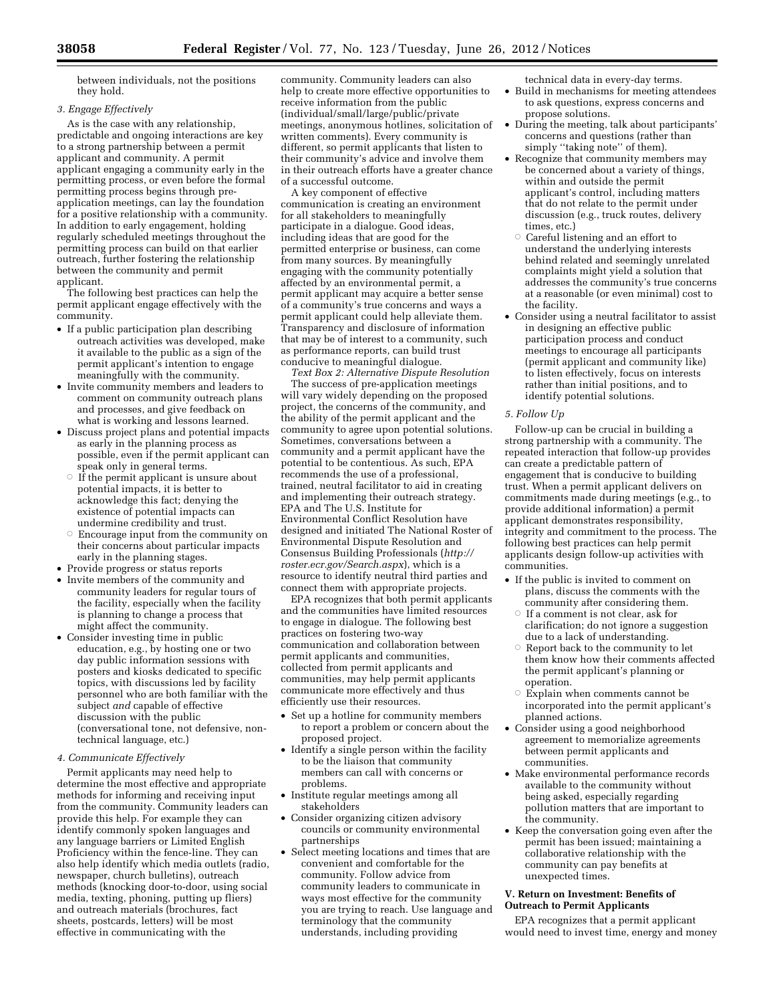between individuals, not the positions they hold.

#### *3. Engage Effectively*

As is the case with any relationship, predictable and ongoing interactions are key to a strong partnership between a permit applicant and community. A permit applicant engaging a community early in the permitting process, or even before the formal permitting process begins through preapplication meetings, can lay the foundation for a positive relationship with a community. In addition to early engagement, holding regularly scheduled meetings throughout the permitting process can build on that earlier outreach, further fostering the relationship between the community and permit applicant.

The following best practices can help the permit applicant engage effectively with the community.

- If a public participation plan describing outreach activities was developed, make it available to the public as a sign of the permit applicant's intention to engage meaningfully with the community.
- Invite community members and leaders to comment on community outreach plans and processes, and give feedback on what is working and lessons learned.
- Discuss project plans and potential impacts as early in the planning process as possible, even if the permit applicant can speak only in general terms.
	- $\circ$  If the permit applicant is unsure about potential impacts, it is better to acknowledge this fact; denying the existence of potential impacts can undermine credibility and trust.
	- Æ Encourage input from the community on their concerns about particular impacts early in the planning stages.
- Provide progress or status reports
- Invite members of the community and community leaders for regular tours of the facility, especially when the facility is planning to change a process that might affect the community.
- Consider investing time in public education, e.g., by hosting one or two day public information sessions with posters and kiosks dedicated to specific topics, with discussions led by facility personnel who are both familiar with the subject *and* capable of effective discussion with the public (conversational tone, not defensive, nontechnical language, etc.)

## *4. Communicate Effectively*

Permit applicants may need help to determine the most effective and appropriate methods for informing and receiving input from the community. Community leaders can provide this help. For example they can identify commonly spoken languages and any language barriers or Limited English Proficiency within the fence-line. They can also help identify which media outlets (radio, newspaper, church bulletins), outreach methods (knocking door-to-door, using social media, texting, phoning, putting up fliers) and outreach materials (brochures, fact sheets, postcards, letters) will be most effective in communicating with the

community. Community leaders can also help to create more effective opportunities to receive information from the public (individual/small/large/public/private meetings, anonymous hotlines, solicitation of written comments). Every community is different, so permit applicants that listen to their community's advice and involve them in their outreach efforts have a greater chance of a successful outcome.

A key component of effective communication is creating an environment for all stakeholders to meaningfully participate in a dialogue. Good ideas, including ideas that are good for the permitted enterprise or business, can come from many sources. By meaningfully engaging with the community potentially affected by an environmental permit, a permit applicant may acquire a better sense of a community's true concerns and ways a permit applicant could help alleviate them. Transparency and disclosure of information that may be of interest to a community, such as performance reports, can build trust conducive to meaningful dialogue.

*Text Box 2: Alternative Dispute Resolution*  The success of pre-application meetings will vary widely depending on the proposed project, the concerns of the community, and the ability of the permit applicant and the community to agree upon potential solutions. Sometimes, conversations between a community and a permit applicant have the potential to be contentious. As such, EPA recommends the use of a professional, trained, neutral facilitator to aid in creating and implementing their outreach strategy. EPA and The U.S. Institute for Environmental Conflict Resolution have designed and initiated The National Roster of Environmental Dispute Resolution and Consensus Building Professionals (*[http://](http://roster.ecr.gov/Search.aspx) [roster.ecr.gov/Search.aspx](http://roster.ecr.gov/Search.aspx)*), which is a resource to identify neutral third parties and connect them with appropriate projects.

EPA recognizes that both permit applicants and the communities have limited resources to engage in dialogue. The following best practices on fostering two-way communication and collaboration between permit applicants and communities, collected from permit applicants and communities, may help permit applicants communicate more effectively and thus efficiently use their resources.

- Set up a hotline for community members to report a problem or concern about the proposed project.
- Identify a single person within the facility to be the liaison that community members can call with concerns or problems.
- Institute regular meetings among all stakeholders
- Consider organizing citizen advisory councils or community environmental partnerships
- Select meeting locations and times that are convenient and comfortable for the community. Follow advice from community leaders to communicate in ways most effective for the community you are trying to reach. Use language and terminology that the community understands, including providing

technical data in every-day terms.

- Build in mechanisms for meeting attendees to ask questions, express concerns and propose solutions.
- During the meeting, talk about participants' concerns and questions (rather than simply "taking note" of them).
- Recognize that community members may be concerned about a variety of things, within and outside the permit applicant's control, including matters that do not relate to the permit under discussion (e.g., truck routes, delivery times, etc.)
	- $\circ$  Careful listening and an effort to understand the underlying interests behind related and seemingly unrelated complaints might yield a solution that addresses the community's true concerns at a reasonable (or even minimal) cost to the facility.
- Consider using a neutral facilitator to assist in designing an effective public participation process and conduct meetings to encourage all participants (permit applicant and community like) to listen effectively, focus on interests rather than initial positions, and to identify potential solutions.

#### *5. Follow Up*

Follow-up can be crucial in building a strong partnership with a community. The repeated interaction that follow-up provides can create a predictable pattern of engagement that is conducive to building trust. When a permit applicant delivers on commitments made during meetings (e.g., to provide additional information) a permit applicant demonstrates responsibility, integrity and commitment to the process. The following best practices can help permit applicants design follow-up activities with communities.

- If the public is invited to comment on plans, discuss the comments with the community after considering them.
	- $\circ$  If a comment is not clear, ask for clarification; do not ignore a suggestion due to a lack of understanding.
	- $\circ$  Report back to the community to let them know how their comments affected the permit applicant's planning or operation.
	- $\circ$  Explain when comments cannot be incorporated into the permit applicant's planned actions.
- Consider using a good neighborhood agreement to memorialize agreements between permit applicants and communities.
- Make environmental performance records available to the community without being asked, especially regarding pollution matters that are important to the community.
- Keep the conversation going even after the permit has been issued; maintaining a collaborative relationship with the community can pay benefits at unexpected times.

#### **V. Return on Investment: Benefits of Outreach to Permit Applicants**

EPA recognizes that a permit applicant would need to invest time, energy and money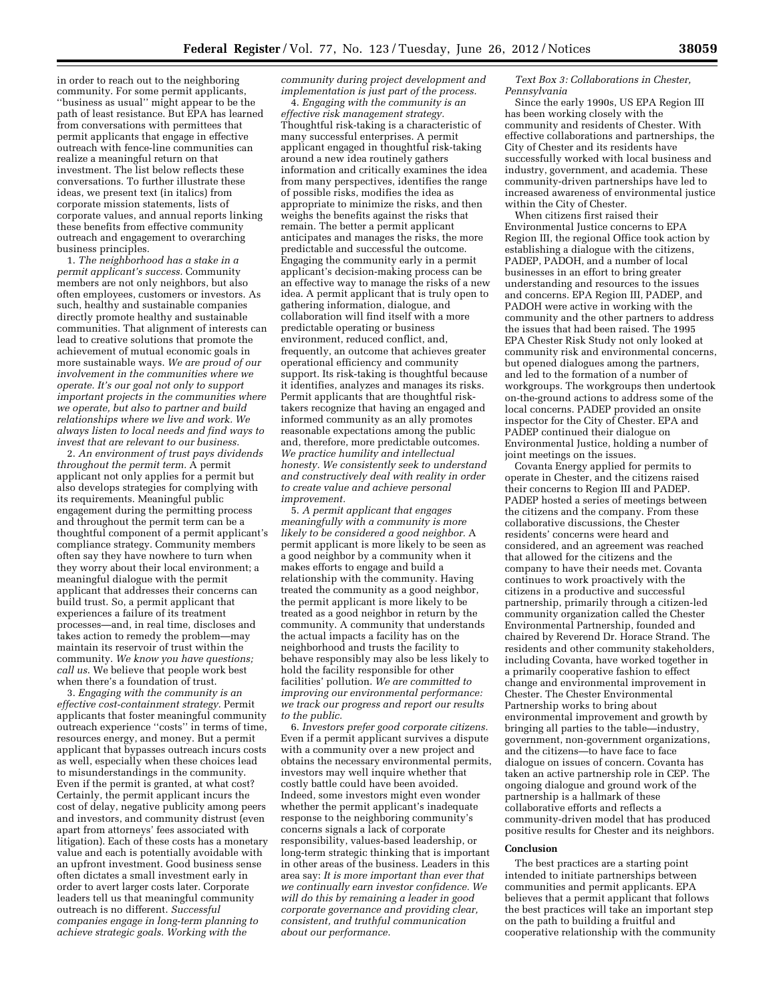in order to reach out to the neighboring community. For some permit applicants, ''business as usual'' might appear to be the path of least resistance. But EPA has learned from conversations with permittees that permit applicants that engage in effective outreach with fence-line communities can realize a meaningful return on that investment. The list below reflects these conversations. To further illustrate these ideas, we present text (in italics) from corporate mission statements, lists of corporate values, and annual reports linking these benefits from effective community outreach and engagement to overarching business principles.

1. *The neighborhood has a stake in a permit applicant's success.* Community members are not only neighbors, but also often employees, customers or investors. As such, healthy and sustainable companies directly promote healthy and sustainable communities. That alignment of interests can lead to creative solutions that promote the achievement of mutual economic goals in more sustainable ways. *We are proud of our involvement in the communities where we operate. It's our goal not only to support important projects in the communities where we operate, but also to partner and build relationships where we live and work. We always listen to local needs and find ways to invest that are relevant to our business.* 

2. *An environment of trust pays dividends throughout the permit term.* A permit applicant not only applies for a permit but also develops strategies for complying with its requirements. Meaningful public engagement during the permitting process and throughout the permit term can be a thoughtful component of a permit applicant's compliance strategy. Community members often say they have nowhere to turn when they worry about their local environment; a meaningful dialogue with the permit applicant that addresses their concerns can build trust. So, a permit applicant that experiences a failure of its treatment processes—and, in real time, discloses and takes action to remedy the problem—may maintain its reservoir of trust within the community. *We know you have questions; call us*. We believe that people work best when there's a foundation of trust.

3. *Engaging with the community is an effective cost-containment strategy.* Permit applicants that foster meaningful community outreach experience ''costs'' in terms of time, resources energy, and money. But a permit applicant that bypasses outreach incurs costs as well, especially when these choices lead to misunderstandings in the community. Even if the permit is granted, at what cost? Certainly, the permit applicant incurs the cost of delay, negative publicity among peers and investors, and community distrust (even apart from attorneys' fees associated with litigation). Each of these costs has a monetary value and each is potentially avoidable with an upfront investment. Good business sense often dictates a small investment early in order to avert larger costs later. Corporate leaders tell us that meaningful community outreach is no different. *Successful companies engage in long-term planning to achieve strategic goals. Working with the* 

*community during project development and implementation is just part of the process.* 

4. *Engaging with the community is an effective risk management strategy.*  Thoughtful risk-taking is a characteristic of many successful enterprises. A permit applicant engaged in thoughtful risk-taking around a new idea routinely gathers information and critically examines the idea from many perspectives, identifies the range of possible risks, modifies the idea as appropriate to minimize the risks, and then weighs the benefits against the risks that remain. The better a permit applicant anticipates and manages the risks, the more predictable and successful the outcome. Engaging the community early in a permit applicant's decision-making process can be an effective way to manage the risks of a new idea. A permit applicant that is truly open to gathering information, dialogue, and collaboration will find itself with a more predictable operating or business environment, reduced conflict, and, frequently, an outcome that achieves greater operational efficiency and community support. Its risk-taking is thoughtful because it identifies, analyzes and manages its risks. Permit applicants that are thoughtful risktakers recognize that having an engaged and informed community as an ally promotes reasonable expectations among the public and, therefore, more predictable outcomes. *We practice humility and intellectual honesty. We consistently seek to understand and constructively deal with reality in order to create value and achieve personal improvement.* 

5. *A permit applicant that engages meaningfully with a community is more likely to be considered a good neighbor.* A permit applicant is more likely to be seen as a good neighbor by a community when it makes efforts to engage and build a relationship with the community. Having treated the community as a good neighbor, the permit applicant is more likely to be treated as a good neighbor in return by the community. A community that understands the actual impacts a facility has on the neighborhood and trusts the facility to behave responsibly may also be less likely to hold the facility responsible for other facilities' pollution. *We are committed to improving our environmental performance: we track our progress and report our results to the public.* 

6. *Investors prefer good corporate citizens.*  Even if a permit applicant survives a dispute with a community over a new project and obtains the necessary environmental permits, investors may well inquire whether that costly battle could have been avoided. Indeed, some investors might even wonder whether the permit applicant's inadequate response to the neighboring community's concerns signals a lack of corporate responsibility, values-based leadership, or long-term strategic thinking that is important in other areas of the business. Leaders in this area say: *It is more important than ever that we continually earn investor confidence. We will do this by remaining a leader in good corporate governance and providing clear, consistent, and truthful communication about our performance.* 

*Text Box 3: Collaborations in Chester, Pennsylvania* 

Since the early 1990s, US EPA Region III has been working closely with the community and residents of Chester. With effective collaborations and partnerships, the City of Chester and its residents have successfully worked with local business and industry, government, and academia. These community-driven partnerships have led to increased awareness of environmental justice within the City of Chester.

When citizens first raised their Environmental Justice concerns to EPA Region III, the regional Office took action by establishing a dialogue with the citizens, PADEP, PADOH, and a number of local businesses in an effort to bring greater understanding and resources to the issues and concerns. EPA Region III, PADEP, and PADOH were active in working with the community and the other partners to address the issues that had been raised. The 1995 EPA Chester Risk Study not only looked at community risk and environmental concerns, but opened dialogues among the partners, and led to the formation of a number of workgroups. The workgroups then undertook on-the-ground actions to address some of the local concerns. PADEP provided an onsite inspector for the City of Chester. EPA and PADEP continued their dialogue on Environmental Justice, holding a number of joint meetings on the issues.

Covanta Energy applied for permits to operate in Chester, and the citizens raised their concerns to Region III and PADEP. PADEP hosted a series of meetings between the citizens and the company. From these collaborative discussions, the Chester residents' concerns were heard and considered, and an agreement was reached that allowed for the citizens and the company to have their needs met. Covanta continues to work proactively with the citizens in a productive and successful partnership, primarily through a citizen-led community organization called the Chester Environmental Partnership, founded and chaired by Reverend Dr. Horace Strand. The residents and other community stakeholders, including Covanta, have worked together in a primarily cooperative fashion to effect change and environmental improvement in Chester. The Chester Environmental Partnership works to bring about environmental improvement and growth by bringing all parties to the table—industry, government, non-government organizations, and the citizens—to have face to face dialogue on issues of concern. Covanta has taken an active partnership role in CEP. The ongoing dialogue and ground work of the partnership is a hallmark of these collaborative efforts and reflects a community-driven model that has produced positive results for Chester and its neighbors.

#### **Conclusion**

The best practices are a starting point intended to initiate partnerships between communities and permit applicants. EPA believes that a permit applicant that follows the best practices will take an important step on the path to building a fruitful and cooperative relationship with the community